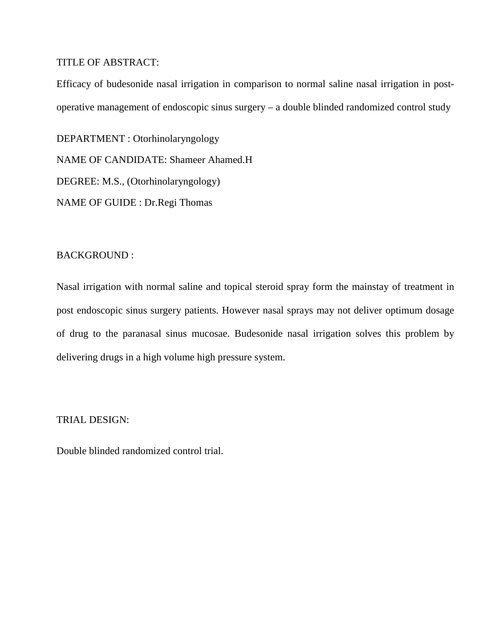## TITLE OF ABSTRACT:

Efficacy of budesonide nasal irrigation in comparison to normal saline nasal irrigation in postoperative management of endoscopic sinus surgery – a double blinded randomized control study

DEPARTMENT : Otorhinolaryngology NAME OF CANDIDATE: Shameer Ahamed.H DEGREE: M.S., (Otorhinolaryngology) NAME OF GUIDE : Dr.Regi Thomas

# BACKGROUND :

Nasal irrigation with normal saline and topical steroid spray form the mainstay of treatment in post endoscopic sinus surgery patients. However nasal sprays may not deliver optimum dosage of drug to the paranasal sinus mucosae. Budesonide nasal irrigation solves this problem by delivering drugs in a high volume high pressure system.

# TRIAL DESIGN:

Double blinded randomized control trial.